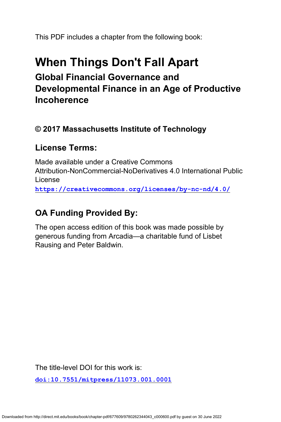This PDF includes a chapter from the following book:

# **When Things Don't Fall Apart Global Financial Governance and Developmental Finance in an Age of Productive Incoherence**

## **© 2017 Massachusetts Institute of Technology**

## **License Terms:**

Made available under a Creative Commons Attribution-NonCommercial-NoDerivatives 4.0 International Public License **<https://creativecommons.org/licenses/by-nc-nd/4.0/>**

# **OA Funding Provided By:**

The open access edition of this book was made possible by generous funding from Arcadia—a charitable fund of Lisbet Rausing and Peter Baldwin.

The title-level DOI for this work is:

**[doi:10.7551/mitpress/11073.001.0001](https://doi.org/10.7551/mitpress/11073.001.0001)**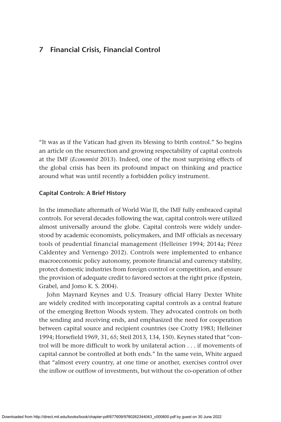## **7 Financial Crisis, Financial Control**

"It was as if the Vatican had given its blessing to birth control." So begins an article on the resurrection and growing respectability of capital controls at the IMF (*Economist* 2013). Indeed, one of the most surprising effects of the global crisis has been its profound impact on thinking and practice around what was until recently a forbidden policy instrument.

## **Capital Controls: A Brief History**

In the immediate aftermath of World War II, the IMF fully embraced capital controls. For several decades following the war, capital controls were utilized almost universally around the globe. Capital controls were widely understood by academic economists, policymakers, and IMF officials as necessary tools of prudential financial management (Helleiner 1994; 2014a; Pérez Caldentey and Vernengo 2012). Controls were implemented to enhance macroeconomic policy autonomy, promote financial and currency stability, protect domestic industries from foreign control or competition, and ensure the provision of adequate credit to favored sectors at the right price (Epstein, Grabel, and Jomo K. S. 2004).

John Maynard Keynes and U.S. Treasury official Harry Dexter White are widely credited with incorporating capital controls as a central feature of the emerging Bretton Woods system. They advocated controls on both the sending and receiving ends, and emphasized the need for cooperation between capital source and recipient countries (see Crotty 1983; Helleiner 1994; Horsefield 1969, 31, 65; Steil 2013, 134, 150). Keynes stated that "control will be more difficult to work by unilateral action . . . if movements of capital cannot be controlled at both ends." In the same vein, White argued that "almost every country, at one time or another, exercises control over the inflow or outflow of investments, but without the co-operation of other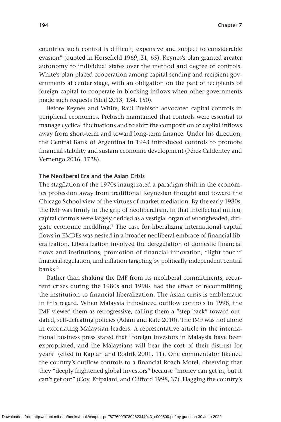countries such control is difficult, expensive and subject to considerable evasion" (quoted in Horsefield 1969, 31, 65). Keynes's plan granted greater autonomy to individual states over the method and degree of controls. White's plan placed cooperation among capital sending and recipient governments at center stage, with an obligation on the part of recipients of foreign capital to cooperate in blocking inflows when other governments made such requests (Steil 2013, 134, 150).

Before Keynes and White, Raúl Prebisch advocated capital controls in peripheral economies. Prebisch maintained that controls were essential to manage cyclical fluctuations and to shift the composition of capital inflows away from short-term and toward long-term finance. Under his direction, the Central Bank of Argentina in 1943 introduced controls to promote financial stability and sustain economic development (Pérez Caldentey and Vernengo 2016, 1728).

## **The Neoliberal Era and the Asian Crisis**

The stagflation of the 1970s inaugurated a paradigm shift in the economics profession away from traditional Keynesian thought and toward the Chicago School view of the virtues of market mediation. By the early 1980s, the IMF was firmly in the grip of neoliberalism. In that intellectual milieu, capital controls were largely derided as a vestigial organ of wrongheaded, dirigiste economic meddling.1 The case for liberalizing international capital flows in EMDEs was nested in a broader neoliberal embrace of financial liberalization. Liberalization involved the deregulation of domestic financial flows and institutions, promotion of financial innovation, "light touch" financial regulation, and inflation targeting by politically independent central banks.2

Rather than shaking the IMF from its neoliberal commitments, recurrent crises during the 1980s and 1990s had the effect of recommitting the institution to financial liberalization. The Asian crisis is emblematic in this regard. When Malaysia introduced outflow controls in 1998, the IMF viewed them as retrogressive, calling them a "step back" toward outdated, self-defeating policies (Adam and Kate 2010). The IMF was not alone in excoriating Malaysian leaders. A representative article in the international business press stated that "foreign investors in Malaysia have been expropriated, and the Malaysians will bear the cost of their distrust for years" (cited in Kaplan and Rodrik 2001, 11). One commentator likened the country's outflow controls to a financial Roach Motel, observing that they "deeply frightened global investors" because "money can get in, but it can't get out" (Coy, Kripalani, and Clifford 1998, 37). Flagging the country's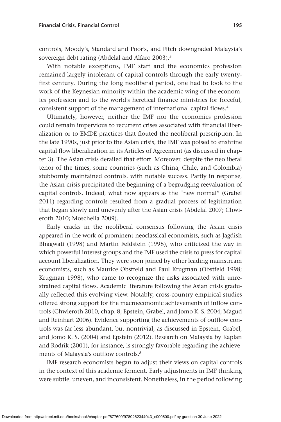controls, Moody's, Standard and Poor's, and Fitch downgraded Malaysia's sovereign debt rating (Abdelal and Alfaro 2003).3

With notable exceptions, IMF staff and the economics profession remained largely intolerant of capital controls through the early twentyfirst century. During the long neoliberal period, one had to look to the work of the Keynesian minority within the academic wing of the economics profession and to the world's heretical finance ministries for forceful, consistent support of the management of international capital flows.4

Ultimately, however, neither the IMF nor the economics profession could remain impervious to recurrent crises associated with financial liberalization or to EMDE practices that flouted the neoliberal prescription. In the late 1990s, just prior to the Asian crisis, the IMF was poised to enshrine capital flow liberalization in its Articles of Agreement (as discussed in chapter 3). The Asian crisis derailed that effort. Moreover, despite the neoliberal tenor of the times, some countries (such as China, Chile, and Colombia) stubbornly maintained controls, with notable success. Partly in response, the Asian crisis precipitated the beginning of a begrudging reevaluation of capital controls. Indeed, what now appears as the "new normal" (Grabel 2011) regarding controls resulted from a gradual process of legitimation that began slowly and unevenly after the Asian crisis (Abdelal 2007; Chwieroth 2010; Moschella 2009).

Early cracks in the neoliberal consensus following the Asian crisis appeared in the work of prominent neoclassical economists, such as Jagdish Bhagwati (1998) and Martin Feldstein (1998), who criticized the way in which powerful interest groups and the IMF used the crisis to press for capital account liberalization. They were soon joined by other leading mainstream economists, such as Maurice Obstfeld and Paul Krugman (Obstfeld 1998; Krugman 1998), who came to recognize the risks associated with unrestrained capital flows. Academic literature following the Asian crisis gradually reflected this evolving view. Notably, cross-country empirical studies offered strong support for the macroeconomic achievements of inflow controls (Chwieroth 2010, chap. 8; Epstein, Grabel, and Jomo K. S. 2004; Magud and Reinhart 2006). Evidence supporting the achievements of outflow controls was far less abundant, but nontrivial, as discussed in Epstein, Grabel, and Jomo K. S. (2004) and Epstein (2012). Research on Malaysia by Kaplan and Rodrik (2001), for instance, is strongly favorable regarding the achievements of Malaysia's outflow controls.5

IMF research economists began to adjust their views on capital controls in the context of this academic ferment. Early adjustments in IMF thinking were subtle, uneven, and inconsistent. Nonetheless, in the period following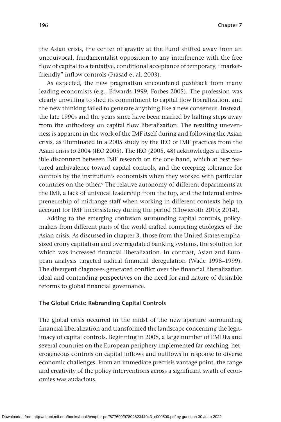the Asian crisis, the center of gravity at the Fund shifted away from an unequivocal, fundamentalist opposition to any interference with the free flow of capital to a tentative, conditional acceptance of temporary, "marketfriendly" inflow controls (Prasad et al. 2003).

As expected, the new pragmatism encountered pushback from many leading economists (e.g., Edwards 1999; Forbes 2005). The profession was clearly unwilling to shed its commitment to capital flow liberalization, and the new thinking failed to generate anything like a new consensus. Instead, the late 1990s and the years since have been marked by halting steps away from the orthodoxy on capital flow liberalization. The resulting unevenness is apparent in the work of the IMF itself during and following the Asian crisis, as illuminated in a 2005 study by the IEO of IMF practices from the Asian crisis to 2004 (IEO 2005). The IEO (2005, 48) acknowledges a discernible disconnect between IMF research on the one hand, which at best featured ambivalence toward capital controls, and the creeping tolerance for controls by the institution's economists when they worked with particular countries on the other.<sup>6</sup> The relative autonomy of different departments at the IMF, a lack of univocal leadership from the top, and the internal entrepreneurship of midrange staff when working in different contexts help to account for IMF inconsistency during the period (Chwieroth 2010; 2014).

Adding to the emerging confusion surrounding capital controls, policymakers from different parts of the world crafted competing etiologies of the Asian crisis. As discussed in chapter 3, those from the United States emphasized crony capitalism and overregulated banking systems, the solution for which was increased financial liberalization. In contrast, Asian and European analysis targeted radical financial deregulation (Wade 1998–1999). The divergent diagnoses generated conflict over the financial liberalization ideal and contending perspectives on the need for and nature of desirable reforms to global financial governance.

### **The Global Crisis: Rebranding Capital Controls**

The global crisis occurred in the midst of the new aperture surrounding financial liberalization and transformed the landscape concerning the legitimacy of capital controls. Beginning in 2008, a large number of EMDEs and several countries on the European periphery implemented far-reaching, heterogeneous controls on capital inflows and outflows in response to diverse economic challenges. From an immediate precrisis vantage point, the range and creativity of the policy interventions across a significant swath of economies was audacious.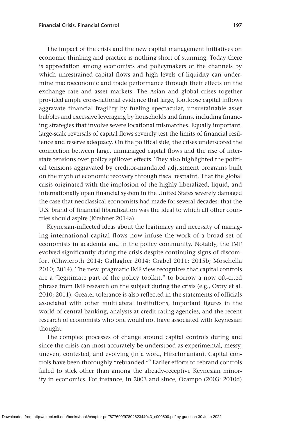The impact of the crisis and the new capital management initiatives on economic thinking and practice is nothing short of stunning. Today there is appreciation among economists and policymakers of the channels by which unrestrained capital flows and high levels of liquidity can undermine macroeconomic and trade performance through their effects on the exchange rate and asset markets. The Asian and global crises together provided ample cross-national evidence that large, footloose capital inflows aggravate financial fragility by fueling spectacular, unsustainable asset bubbles and excessive leveraging by households and firms, including financing strategies that involve severe locational mismatches. Equally important, large-scale reversals of capital flows severely test the limits of financial resilience and reserve adequacy. On the political side, the crises underscored the connection between large, unmanaged capital flows and the rise of interstate tensions over policy spillover effects. They also highlighted the political tensions aggravated by creditor-mandated adjustment programs built on the myth of economic recovery through fiscal restraint. That the global crisis originated with the implosion of the highly liberalized, liquid, and internationally open financial system in the United States severely damaged the case that neoclassical economists had made for several decades: that the U.S. brand of financial liberalization was the ideal to which all other countries should aspire (Kirshner 2014a).

Keynesian-inflected ideas about the legitimacy and necessity of managing international capital flows now infuse the work of a broad set of economists in academia and in the policy community. Notably, the IMF evolved significantly during the crisis despite continuing signs of discomfort (Chwieroth 2014; Gallagher 2014; Grabel 2011; 2015b; Moschella 2010; 2014). The new, pragmatic IMF view recognizes that capital controls are a "legitimate part of the policy toolkit," to borrow a now oft-cited phrase from IMF research on the subject during the crisis (e.g., Ostry et al. 2010; 2011). Greater tolerance is also reflected in the statements of officials associated with other multilateral institutions, important figures in the world of central banking, analysts at credit rating agencies, and the recent research of economists who one would not have associated with Keynesian thought.

The complex processes of change around capital controls during and since the crisis can most accurately be understood as experimental, messy, uneven, contested, and evolving (in a word, Hirschmanian). Capital controls have been thoroughly "rebranded."7 Earlier efforts to rebrand controls failed to stick other than among the already-receptive Keynesian minority in economics. For instance, in 2003 and since, Ocampo (2003; 2010d)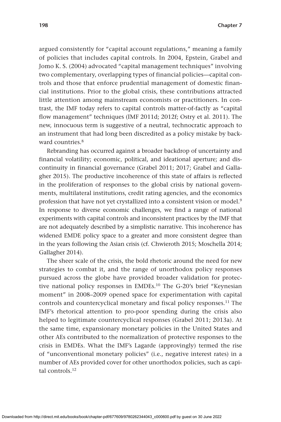argued consistently for "capital account regulations," meaning a family of policies that includes capital controls. In 2004, Epstein, Grabel and Jomo K. S. (2004) advocated "capital management techniques" involving two complementary, overlapping types of financial policies—capital controls and those that enforce prudential management of domestic financial institutions. Prior to the global crisis, these contributions attracted little attention among mainstream economists or practitioners. In contrast, the IMF today refers to capital controls matter-of-factly as "capital flow management" techniques (IMF 2011d; 2012f; Ostry et al. 2011). The new, innocuous term is suggestive of a neutral, technocratic approach to an instrument that had long been discredited as a policy mistake by backward countries.<sup>8</sup>

Rebranding has occurred against a broader backdrop of uncertainty and financial volatility; economic, political, and ideational aperture; and discontinuity in financial governance (Grabel 2011; 2017; Grabel and Gallagher 2015). The productive incoherence of this state of affairs is reflected in the proliferation of responses to the global crisis by national governments, multilateral institutions, credit rating agencies, and the economics profession that have not yet crystallized into a consistent vision or model.<sup>9</sup> In response to diverse economic challenges, we find a range of national experiments with capital controls and inconsistent practices by the IMF that are not adequately described by a simplistic narrative. This incoherence has widened EMDE policy space to a greater and more consistent degree than in the years following the Asian crisis (cf. Chwieroth 2015; Moschella 2014; Gallagher 2014).

The sheer scale of the crisis, the bold rhetoric around the need for new strategies to combat it, and the range of unorthodox policy responses pursued across the globe have provided broader validation for protective national policy responses in EMDEs.<sup>10</sup> The G-20's brief "Keynesian moment" in 2008–2009 opened space for experimentation with capital controls and countercyclical monetary and fiscal policy responses.11 The IMF's rhetorical attention to pro-poor spending during the crisis also helped to legitimate countercyclical responses (Grabel 2011; 2013a). At the same time, expansionary monetary policies in the United States and other AEs contributed to the normalization of protective responses to the crisis in EMDEs. What the IMF's Lagarde (approvingly) termed the rise of "unconventional monetary policies" (i.e., negative interest rates) in a number of AEs provided cover for other unorthodox policies, such as capital controls<sup>12</sup>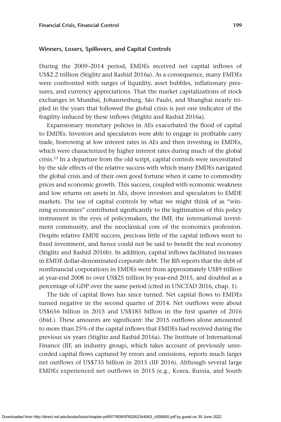#### **Winners, Losers, Spillovers, and Capital Controls**

During the 2009–2014 period, EMDEs received net capital inflows of US\$2.2 trillion (Stiglitz and Rashid 2016a). As a consequence, many EMDEs were confronted with surges of liquidity, asset bubbles, inflationary pressures, and currency appreciations. That the market capitalizations of stock exchanges in Mumbai, Johannesburg, São Paulo, and Shanghai nearly tripled in the years that followed the global crisis is just one indicator of the fragility induced by these inflows (Stiglitz and Rashid 2016a).

Expansionary monetary policies in AEs exacerbated the flood of capital to EMDEs. Investors and speculators were able to engage in profitable carry trade, borrowing at low interest rates in AEs and then investing in EMDEs, which were characterized by higher interest rates during much of the global crisis.13 In a departure from the old script, capital controls were necessitated by the side effects of the relative success with which many EMDEs navigated the global crisis and of their own good fortune when it came to commodity prices and economic growth. This success, coupled with economic weakness and low returns on assets in AEs, drove investors and speculators to EMDE markets. The use of capital controls by what we might think of as "winning economies" contributed significantly to the legitimation of this policy instrument in the eyes of policymakers, the IMF, the international investment community, and the neoclassical core of the economics profession. Despite relative EMDE success, precious little of the capital inflows went to fixed investment, and hence could not be said to benefit the real economy (Stiglitz and Rashid 2016b). In addition, capital inflows facilitated increases in EMDE dollar-denominated corporate debt. The BIS reports that the debt of nonfinancial corporations in EMDEs went from approximately US\$9 trillion at year-end 2008 to over US\$25 trillion by year-end 2015, and doubled as a percentage of GDP over the same period (cited in UNCTAD 2016, chap. 1).

The tide of capital flows has since turned. Net capital flows to EMDEs turned negative in the second quarter of 2014. Net outflows were about US\$656 billion in 2015 and US\$185 billion in the first quarter of 2016 (ibid.). These amounts are significant: the 2015 outflows alone amounted to more than 25% of the capital inflows that EMDEs had received during the previous six years (Stiglitz and Rashid 2016a). The Institute of International Finance (IIF, an industry group), which takes account of previously unrecorded capital flows captured by errors and omissions, reports much larger net outflows of US\$735 billion in 2015 (IIF 2016). Although several large EMDEs experienced net outflows in 2015 (e.g., Korea, Russia, and South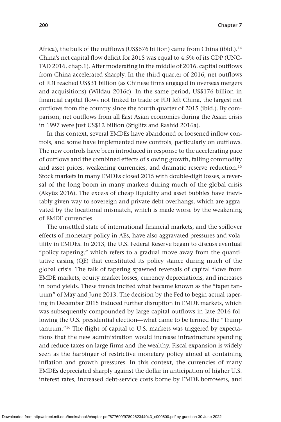Africa), the bulk of the outflows (US\$676 billion) came from China (ibid.).<sup>14</sup> China's net capital flow deficit for 2015 was equal to 4.5% of its GDP (UNC-TAD 2016, chap.1). After moderating in the middle of 2016, capital outflows from China accelerated sharply. In the third quarter of 2016, net outflows of FDI reached US\$31 billion (as Chinese firms engaged in overseas mergers and acquisitions) (Wildau 2016c). In the same period, US\$176 billion in financial capital flows not linked to trade or FDI left China, the largest net outflows from the country since the fourth quarter of 2015 (ibid.). By comparison, net outflows from all East Asian economies during the Asian crisis in 1997 were just US\$12 billion (Stiglitz and Rashid 2016a).

In this context, several EMDEs have abandoned or loosened inflow controls, and some have implemented new controls, particularly on outflows. The new controls have been introduced in response to the accelerating pace of outflows and the combined effects of slowing growth, falling commodity and asset prices, weakening currencies, and dramatic reserve reduction.<sup>15</sup> Stock markets in many EMDEs closed 2015 with double-digit losses, a reversal of the long boom in many markets during much of the global crisis (Akyüz 2016). The excess of cheap liquidity and asset bubbles have inevitably given way to sovereign and private debt overhangs, which are aggravated by the locational mismatch, which is made worse by the weakening of EMDE currencies.

The unsettled state of international financial markets, and the spillover effects of monetary policy in AEs, have also aggravated pressures and volatility in EMDEs. In 2013, the U.S. Federal Reserve began to discuss eventual "policy tapering," which refers to a gradual move away from the quantitative easing (QE) that constituted its policy stance during much of the global crisis. The talk of tapering spawned reversals of capital flows from EMDE markets, equity market losses, currency depreciations, and increases in bond yields. These trends incited what became known as the "taper tantrum" of May and June 2013. The decision by the Fed to begin actual tapering in December 2015 induced further disruption in EMDE markets, which was subsequently compounded by large capital outflows in late 2016 following the U.S. presidential election—what came to be termed the "Trump tantrum."16 The flight of capital to U.S. markets was triggered by expectations that the new administration would increase infrastructure spending and reduce taxes on large firms and the wealthy. Fiscal expansion is widely seen as the harbinger of restrictive monetary policy aimed at containing inflation and growth pressures. In this context, the currencies of many EMDEs depreciated sharply against the dollar in anticipation of higher U.S. interest rates, increased debt-service costs borne by EMDE borrowers, and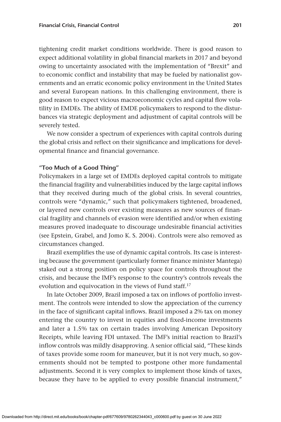tightening credit market conditions worldwide. There is good reason to expect additional volatility in global financial markets in 2017 and beyond owing to uncertainty associated with the implementation of "Brexit" and to economic conflict and instability that may be fueled by nationalist governments and an erratic economic policy environment in the United States and several European nations. In this challenging environment, there is good reason to expect vicious macroeconomic cycles and capital flow volatility in EMDEs. The ability of EMDE policymakers to respond to the disturbances via strategic deployment and adjustment of capital controls will be severely tested.

We now consider a spectrum of experiences with capital controls during the global crisis and reflect on their significance and implications for developmental finance and financial governance.

## **"Too Much of a Good Thing"**

Policymakers in a large set of EMDEs deployed capital controls to mitigate the financial fragility and vulnerabilities induced by the large capital inflows that they received during much of the global crisis. In several countries, controls were "dynamic," such that policymakers tightened, broadened, or layered new controls over existing measures as new sources of financial fragility and channels of evasion were identified and/or when existing measures proved inadequate to discourage undesirable financial activities (see Epstein, Grabel, and Jomo K. S. 2004). Controls were also removed as circumstances changed.

Brazil exemplifies the use of dynamic capital controls. Its case is interesting because the government (particularly former finance minister Mantega) staked out a strong position on policy space for controls throughout the crisis, and because the IMF's response to the country's controls reveals the evolution and equivocation in the views of Fund staff.17

In late October 2009, Brazil imposed a tax on inflows of portfolio investment. The controls were intended to slow the appreciation of the currency in the face of significant capital inflows. Brazil imposed a 2% tax on money entering the country to invest in equities and fixed-income investments and later a 1.5% tax on certain trades involving American Depository Receipts, while leaving FDI untaxed. The IMF's initial reaction to Brazil's inflow controls was mildly disapproving. A senior official said, "These kinds of taxes provide some room for maneuver, but it is not very much, so governments should not be tempted to postpone other more fundamental adjustments. Second it is very complex to implement those kinds of taxes, because they have to be applied to every possible financial instrument,"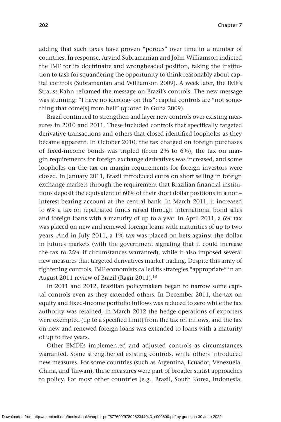adding that such taxes have proven "porous" over time in a number of countries. In response, Arvind Subramanian and John Williamson indicted the IMF for its doctrinaire and wrongheaded position, taking the institution to task for squandering the opportunity to think reasonably about capital controls (Subramanian and Williamson 2009). A week later, the IMF's Strauss-Kahn reframed the message on Brazil's controls. The new message was stunning: "I have no ideology on this"; capital controls are "not something that come[s] from hell" (quoted in Guha 2009).

Brazil continued to strengthen and layer new controls over existing measures in 2010 and 2011. These included controls that specifically targeted derivative transactions and others that closed identified loopholes as they became apparent. In October 2010, the tax charged on foreign purchases of fixed-income bonds was tripled (from 2% to 6%), the tax on margin requirements for foreign exchange derivatives was increased, and some loopholes on the tax on margin requirements for foreign investors were closed. In January 2011, Brazil introduced curbs on short selling in foreign exchange markets through the requirement that Brazilian financial institutions deposit the equivalent of 60% of their short dollar positions in a non– interest-bearing account at the central bank. In March 2011, it increased to 6% a tax on repatriated funds raised through international bond sales and foreign loans with a maturity of up to a year. In April 2011, a 6% tax was placed on new and renewed foreign loans with maturities of up to two years. And in July 2011, a 1% tax was placed on bets against the dollar in futures markets (with the government signaling that it could increase the tax to 25% if circumstances warranted), while it also imposed several new measures that targeted derivatives market trading. Despite this array of tightening controls, IMF economists called its strategies "appropriate" in an August 2011 review of Brazil (Ragir 2011).<sup>18</sup>

In 2011 and 2012, Brazilian policymakers began to narrow some capital controls even as they extended others. In December 2011, the tax on equity and fixed-income portfolio inflows was reduced to zero while the tax authority was retained, in March 2012 the hedge operations of exporters were exempted (up to a specified limit) from the tax on inflows, and the tax on new and renewed foreign loans was extended to loans with a maturity of up to five years.

Other EMDEs implemented and adjusted controls as circumstances warranted. Some strengthened existing controls, while others introduced new measures. For some countries (such as Argentina, Ecuador, Venezuela, China, and Taiwan), these measures were part of broader statist approaches to policy. For most other countries (e.g., Brazil, South Korea, Indonesia,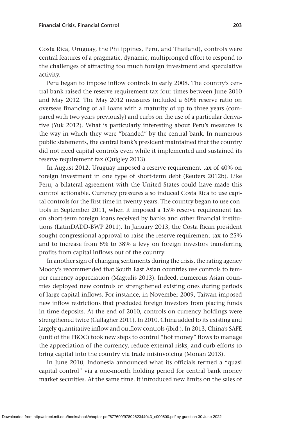Costa Rica, Uruguay, the Philippines, Peru, and Thailand), controls were central features of a pragmatic, dynamic, multipronged effort to respond to the challenges of attracting too much foreign investment and speculative activity.

Peru began to impose inflow controls in early 2008. The country's central bank raised the reserve requirement tax four times between June 2010 and May 2012. The May 2012 measures included a 60% reserve ratio on overseas financing of all loans with a maturity of up to three years (compared with two years previously) and curbs on the use of a particular derivative (Yuk 2012). What is particularly interesting about Peru's measures is the way in which they were "branded" by the central bank. In numerous public statements, the central bank's president maintained that the country did not need capital controls even while it implemented and sustained its reserve requirement tax (Quigley 2013).

In August 2012, Uruguay imposed a reserve requirement tax of 40% on foreign investment in one type of short-term debt (Reuters 2012b). Like Peru, a bilateral agreement with the United States could have made this control actionable. Currency pressures also induced Costa Rica to use capital controls for the first time in twenty years. The country began to use controls in September 2011, when it imposed a 15% reserve requirement tax on short-term foreign loans received by banks and other financial institutions (LatinDADD-BWP 2011). In January 2013, the Costa Rican president sought congressional approval to raise the reserve requirement tax to 25% and to increase from 8% to 38% a levy on foreign investors transferring profits from capital inflows out of the country.

In another sign of changing sentiments during the crisis, the rating agency Moody's recommended that South East Asian countries use controls to temper currency appreciation (Magtulis 2013). Indeed, numerous Asian countries deployed new controls or strengthened existing ones during periods of large capital inflows. For instance, in November 2009, Taiwan imposed new inflow restrictions that precluded foreign investors from placing funds in time deposits. At the end of 2010, controls on currency holdings were strengthened twice (Gallagher 2011). In 2010, China added to its existing and largely quantitative inflow and outflow controls (ibid.). In 2013, China's SAFE (unit of the PBOC) took new steps to control "hot money" flows to manage the appreciation of the currency, reduce external risks, and curb efforts to bring capital into the country via trade misinvoicing (Monan 2013).

In June 2010, Indonesia announced what its officials termed a "quasi capital control" via a one-month holding period for central bank money market securities. At the same time, it introduced new limits on the sales of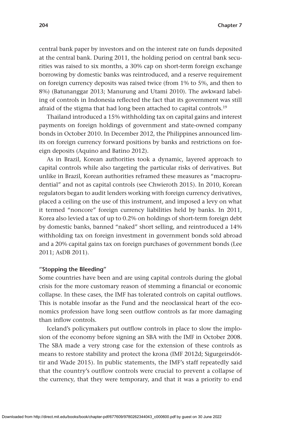central bank paper by investors and on the interest rate on funds deposited at the central bank. During 2011, the holding period on central bank securities was raised to six months, a 30% cap on short-term foreign exchange borrowing by domestic banks was reintroduced, and a reserve requirement on foreign currency deposits was raised twice (from 1% to 5%, and then to 8%) (Batunanggar 2013; Manurung and Utami 2010). The awkward labeling of controls in Indonesia reflected the fact that its government was still afraid of the stigma that had long been attached to capital controls.<sup>19</sup>

Thailand introduced a 15% withholding tax on capital gains and interest payments on foreign holdings of government and state-owned company bonds in October 2010. In December 2012, the Philippines announced limits on foreign currency forward positions by banks and restrictions on foreign deposits (Aquino and Batino 2012).

As in Brazil, Korean authorities took a dynamic, layered approach to capital controls while also targeting the particular risks of derivatives. But unlike in Brazil, Korean authorities reframed these measures as "macroprudential" and not as capital controls (see Chwieroth 2015). In 2010, Korean regulators began to audit lenders working with foreign currency derivatives, placed a ceiling on the use of this instrument, and imposed a levy on what it termed "noncore" foreign currency liabilities held by banks. In 2011, Korea also levied a tax of up to 0.2% on holdings of short-term foreign debt by domestic banks, banned "naked" short selling, and reintroduced a 14% withholding tax on foreign investment in government bonds sold abroad and a 20% capital gains tax on foreign purchases of government bonds (Lee 2011; AsDB 2011).

## **"Stopping the Bleeding"**

Some countries have been and are using capital controls during the global crisis for the more customary reason of stemming a financial or economic collapse. In these cases, the IMF has tolerated controls on capital outflows. This is notable insofar as the Fund and the neoclassical heart of the economics profession have long seen outflow controls as far more damaging than inflow controls.

Iceland's policymakers put outflow controls in place to slow the implosion of the economy before signing an SBA with the IMF in October 2008. The SBA made a very strong case for the extension of these controls as means to restore stability and protect the krona (IMF 2012d; Sigurgeirsdóttir and Wade 2015). In public statements, the IMF's staff repeatedly said that the country's outflow controls were crucial to prevent a collapse of the currency, that they were temporary, and that it was a priority to end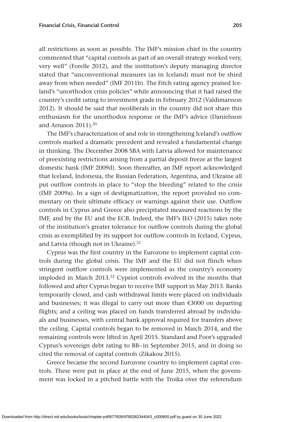all restrictions as soon as possible. The IMF's mission chief in the country commented that "capital controls as part of an overall strategy worked very, very well" (Forelle 2012), and the institution's deputy managing director stated that "unconventional measures (as in Iceland) must not be shied away from when needed" (IMF 2011b). The Fitch rating agency praised Iceland's "unorthodox crisis policies" while announcing that it had raised the country's credit rating to investment grade in February 2012 (Valdimarsson 2012). It should be said that neoliberals in the country did not share this enthusiasm for the unorthodox response or the IMF's advice (Danielsson and Arnason 2011).20

The IMF's characterization of and role in strengthening Iceland's outflow controls marked a dramatic precedent and revealed a fundamental change in thinking. The December 2008 SBA with Latvia allowed for maintenance of preexisting restrictions arising from a partial deposit freeze at the largest domestic bank (IMF 2009d). Soon thereafter, an IMF report acknowledged that Iceland, Indonesia, the Russian Federation, Argentina, and Ukraine all put outflow controls in place to "stop the bleeding" related to the crisis (IMF 2009a). In a sign of destigmatization, the report provided no commentary on their ultimate efficacy or warnings against their use. Outflow controls in Cyprus and Greece also precipitated measured reactions by the IMF, and by the EU and the ECB. Indeed, the IMF's IEO (2015) takes note of the institution's greater tolerance for outflow controls during the global crisis as exemplified by its support for outflow controls in Iceland, Cyprus, and Latvia (though not in Ukraine).<sup>21</sup>

Cyprus was the first country in the Eurozone to implement capital controls during the global crisis. The IMF and the EU did not flinch when stringent outflow controls were implemented as the country's economy imploded in March 2013.22 Cypriot controls evolved in the months that followed and after Cyprus began to receive IMF support in May 2013. Banks temporarily closed, and cash withdrawal limits were placed on individuals and businesses; it was illegal to carry out more than €3000 on departing flights; and a ceiling was placed on funds transferred abroad by individuals and businesses, with central bank approval required for transfers above the ceiling. Capital controls began to be removed in March 2014, and the remaining controls were lifted in April 2015. Standard and Poor's upgraded Cyprus's sovereign debt rating to BB−in September 2015, and in doing so cited the removal of capital controls (Zikakou 2015).

Greece became the second Eurozone country to implement capital controls. These were put in place at the end of June 2015, when the government was locked in a pitched battle with the Troika over the referendum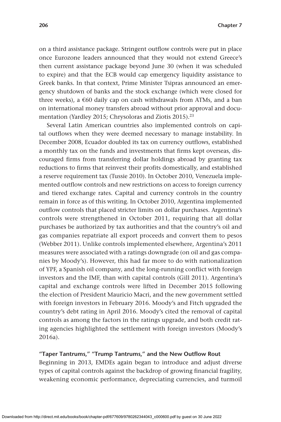on a third assistance package. Stringent outflow controls were put in place once Eurozone leaders announced that they would not extend Greece's then current assistance package beyond June 30 (when it was scheduled to expire) and that the ECB would cap emergency liquidity assistance to Greek banks. In that context, Prime Minister Tsipras announced an emergency shutdown of banks and the stock exchange (which were closed for three weeks), a  $\epsilon$ 60 daily cap on cash withdrawals from ATMs, and a ban on international money transfers abroad without prior approval and documentation (Yardley 2015; Chrysoloras and Ziotis 2015).<sup>23</sup>

Several Latin American countries also implemented controls on capital outflows when they were deemed necessary to manage instability. In December 2008, Ecuador doubled its tax on currency outflows, established a monthly tax on the funds and investments that firms kept overseas, discouraged firms from transferring dollar holdings abroad by granting tax reductions to firms that reinvest their profits domestically, and established a reserve requirement tax (Tussie 2010). In October 2010, Venezuela implemented outflow controls and new restrictions on access to foreign currency and tiered exchange rates. Capital and currency controls in the country remain in force as of this writing. In October 2010, Argentina implemented outflow controls that placed stricter limits on dollar purchases. Argentina's controls were strengthened in October 2011, requiring that all dollar purchases be authorized by tax authorities and that the country's oil and gas companies repatriate all export proceeds and convert them to pesos (Webber 2011). Unlike controls implemented elsewhere, Argentina's 2011 measures were associated with a ratings downgrade (on oil and gas companies by Moody's). However, this had far more to do with nationalization of YPF, a Spanish oil company, and the long-running conflict with foreign investors and the IMF, than with capital controls (Gill 2011). Argentina's capital and exchange controls were lifted in December 2015 following the election of President Mauricio Macri, and the new government settled with foreign investors in February 2016. Moody's and Fitch upgraded the country's debt rating in April 2016. Moody's cited the removal of capital controls as among the factors in the ratings upgrade, and both credit rating agencies highlighted the settlement with foreign investors (Moody's 2016a).

## **"Taper Tantrums," "Trump Tantrums," and the New Outflow Rout**

Beginning in 2013, EMDEs again began to introduce and adjust diverse types of capital controls against the backdrop of growing financial fragility, weakening economic performance, depreciating currencies, and turmoil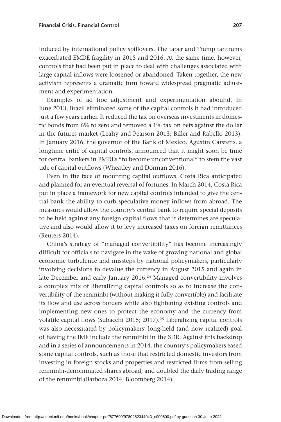induced by international policy spillovers. The taper and Trump tantrums exacerbated EMDE fragility in 2015 and 2016. At the same time, however, controls that had been put in place to deal with challenges associated with large capital inflows were loosened or abandoned. Taken together, the new activism represents a dramatic turn toward widespread pragmatic adjustment and experimentation.

Examples of ad hoc adjustment and experimentation abound. In June 2013, Brazil eliminated some of the capital controls it had introduced just a few years earlier. It reduced the tax on overseas investments in domestic bonds from 6% to zero and removed a 1% tax on bets against the dollar in the futures market (Leahy and Pearson 2013; Biller and Rabello 2013). In January 2016, the governor of the Bank of Mexico, Agustín Carstens, a longtime critic of capital controls, announced that it might soon be time for central bankers in EMDEs "to become unconventional" to stem the vast tide of capital outflows (Wheatley and Donnan 2016).

Even in the face of mounting capital outflows, Costa Rica anticipated and planned for an eventual reversal of fortunes. In March 2014, Costa Rica put in place a framework for new capital controls intended to give the central bank the ability to curb speculative money inflows from abroad. The measures would allow the country's central bank to require special deposits to be held against any foreign capital flows that it determines are speculative and also would allow it to levy increased taxes on foreign remittances (Reuters 2014).

China's strategy of "managed convertibility" has become increasingly difficult for officials to navigate in the wake of growing national and global economic turbulence and missteps by national policymakers, particularly involving decisions to devalue the currency in August 2015 and again in late December and early January 2016.24 Managed convertibility involves a complex mix of liberalizing capital controls so as to increase the convertibility of the renminbi (without making it fully convertible) and facilitate its flow and use across borders while also tightening existing controls and implementing new ones to protect the economy and the currency from volatile capital flows (Subacchi 2015; 2017).25 Liberalizing capital controls was also necessitated by policymakers' long-held (and now realized) goal of having the IMF include the renminbi in the SDR. Against this backdrop and in a series of announcements in 2014, the country's policymakers eased some capital controls, such as those that restricted domestic investors from investing in foreign stocks and properties and restricted firms from selling renminbi-denominated shares abroad, and doubled the daily trading range of the renminbi (Barboza 2014; Bloomberg 2014).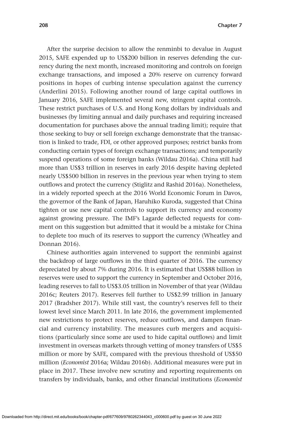After the surprise decision to allow the renminbi to devalue in August 2015, SAFE expended up to US\$200 billion in reserves defending the currency during the next month, increased monitoring and controls on foreign exchange transactions, and imposed a 20% reserve on currency forward positions in hopes of curbing intense speculation against the currency (Anderlini 2015). Following another round of large capital outflows in January 2016, SAFE implemented several new, stringent capital controls. These restrict purchases of U.S. and Hong Kong dollars by individuals and businesses (by limiting annual and daily purchases and requiring increased documentation for purchases above the annual trading limit); require that those seeking to buy or sell foreign exchange demonstrate that the transaction is linked to trade, FDI, or other approved purposes; restrict banks from conducting certain types of foreign exchange transactions; and temporarily suspend operations of some foreign banks (Wildau 2016a). China still had more than US\$3 trillion in reserves in early 2016 despite having depleted nearly US\$500 billion in reserves in the previous year when trying to stem outflows and protect the currency (Stiglitz and Rashid 2016a). Nonetheless, in a widely reported speech at the 2016 World Economic Forum in Davos, the governor of the Bank of Japan, Haruhiko Kuroda, suggested that China tighten or use new capital controls to support its currency and economy against growing pressure. The IMF's Lagarde deflected requests for comment on this suggestion but admitted that it would be a mistake for China to deplete too much of its reserves to support the currency (Wheatley and Donnan 2016).

Chinese authorities again intervened to support the renminbi against the backdrop of large outflows in the third quarter of 2016. The currency depreciated by about 7% during 2016. It is estimated that US\$88 billion in reserves were used to support the currency in September and October 2016, leading reserves to fall to US\$3.05 trillion in November of that year (Wildau 2016c; Reuters 2017). Reserves fell further to US\$2.99 trillion in January 2017 (Bradsher 2017). While still vast, the country's reserves fell to their lowest level since March 2011. In late 2016, the government implemented new restrictions to protect reserves, reduce outflows, and dampen financial and currency instability. The measures curb mergers and acquisitions (particularly since some are used to hide capital outflows) and limit investment in overseas markets through vetting of money transfers of US\$5 million or more by SAFE, compared with the previous threshold of US\$50 million (*Economist* 2016a; Wildau 2016b). Additional measures were put in place in 2017. These involve new scrutiny and reporting requirements on transfers by individuals, banks, and other financial institutions (*Economist*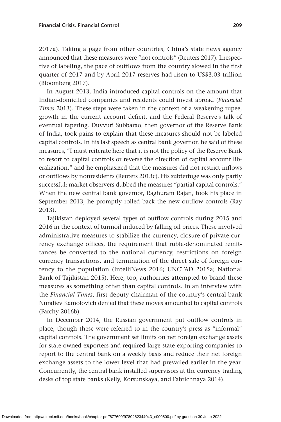2017a). Taking a page from other countries, China's state news agency announced that these measures were "not controls" (Reuters 2017). Irrespective of labeling, the pace of outflows from the country slowed in the first quarter of 2017 and by April 2017 reserves had risen to US\$3.03 trillion (Bloomberg 2017).

In August 2013, India introduced capital controls on the amount that Indian-domiciled companies and residents could invest abroad (*Financial Times* 2013). These steps were taken in the context of a weakening rupee, growth in the current account deficit, and the Federal Reserve's talk of eventual tapering. Duvvuri Subbarao, then governor of the Reserve Bank of India, took pains to explain that these measures should not be labeled capital controls. In his last speech as central bank governor, he said of these measures, "I must reiterate here that it is not the policy of the Reserve Bank to resort to capital controls or reverse the direction of capital account liberalization," and he emphasized that the measures did not restrict inflows or outflows by nonresidents (Reuters 2013c). His subterfuge was only partly successful: market observers dubbed the measures "partial capital controls." When the new central bank governor, Raghuram Rajan, took his place in September 2013, he promptly rolled back the new outflow controls (Ray 2013).

Tajikistan deployed several types of outflow controls during 2015 and 2016 in the context of turmoil induced by falling oil prices. These involved administrative measures to stabilize the currency, closure of private currency exchange offices, the requirement that ruble-denominated remittances be converted to the national currency, restrictions on foreign currency transactions, and termination of the direct sale of foreign currency to the population (IntelliNews 2016; UNCTAD 2015a; National Bank of Tajikistan 2015). Here, too, authorities attempted to brand these measures as something other than capital controls. In an interview with the *Financial Times*, first deputy chairman of the country's central bank Nuraliev Kamolovich denied that these moves amounted to capital controls (Farchy 2016b).

In December 2014, the Russian government put outflow controls in place, though these were referred to in the country's press as "informal" capital controls. The government set limits on net foreign exchange assets for state-owned exporters and required large state exporting companies to report to the central bank on a weekly basis and reduce their net foreign exchange assets to the lower level that had prevailed earlier in the year. Concurrently, the central bank installed supervisors at the currency trading desks of top state banks (Kelly, Korsunskaya, and Fabrichnaya 2014).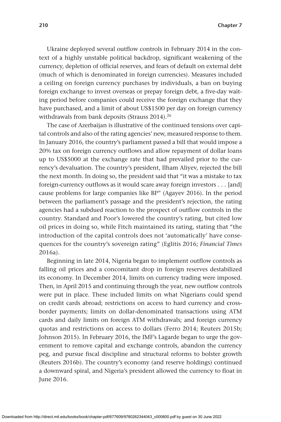Ukraine deployed several outflow controls in February 2014 in the context of a highly unstable political backdrop, significant weakening of the currency, depletion of official reserves, and fears of default on external debt (much of which is denominated in foreign currencies). Measures included a ceiling on foreign currency purchases by individuals, a ban on buying foreign exchange to invest overseas or prepay foreign debt, a five-day waiting period before companies could receive the foreign exchange that they have purchased, and a limit of about US\$1500 per day on foreign currency withdrawals from bank deposits (Strauss 2014).<sup>26</sup>

The case of Azerbaijan is illustrative of the continued tensions over capital controls and also of the rating agencies' new, measured response to them. In January 2016, the country's parliament passed a bill that would impose a 20% tax on foreign currency outflows and allow repayment of dollar loans up to US\$5000 at the exchange rate that had prevailed prior to the currency's devaluation. The country's president, Ilham Aliyev, rejected the bill the next month. In doing so, the president said that "it was a mistake to tax foreign-currency outflows as it would scare away foreign investors . . . [and] cause problems for large companies like BP" (Agayev 2016). In the period between the parliament's passage and the president's rejection, the rating agencies had a subdued reaction to the prospect of outflow controls in the country. Standard and Poor's lowered the country's rating, but cited low oil prices in doing so, while Fitch maintained its rating, stating that "the introduction of the capital controls does not 'automatically' have consequences for the country's sovereign rating" (Eglitis 2016; *Financial Times* 2016a).

Beginning in late 2014, Nigeria began to implement outflow controls as falling oil prices and a concomitant drop in foreign reserves destabilized its economy. In December 2014, limits on currency trading were imposed. Then, in April 2015 and continuing through the year, new outflow controls were put in place. These included limits on what Nigerians could spend on credit cards abroad; restrictions on access to hard currency and crossborder payments; limits on dollar-denominated transactions using ATM cards and daily limits on foreign ATM withdrawals; and foreign currency quotas and restrictions on access to dollars (Ferro 2014; Reuters 2015b; Johnson 2015). In February 2016, the IMF's Lagarde began to urge the government to remove capital and exchange controls, abandon the currency peg, and pursue fiscal discipline and structural reforms to bolster growth (Reuters 2016b). The country's economy (and reserve holdings) continued a downward spiral, and Nigeria's president allowed the currency to float in June 2016.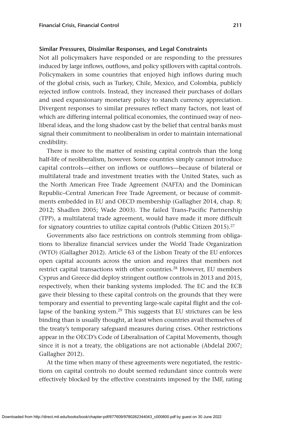## **Similar Pressures, Dissimilar Responses, and Legal Constraints**

Not all policymakers have responded or are responding to the pressures induced by large inflows, outflows, and policy spillovers with capital controls. Policymakers in some countries that enjoyed high inflows during much of the global crisis, such as Turkey, Chile, Mexico, and Colombia, publicly rejected inflow controls. Instead, they increased their purchases of dollars and used expansionary monetary policy to stanch currency appreciation. Divergent responses to similar pressures reflect many factors, not least of which are differing internal political economies, the continued sway of neoliberal ideas, and the long shadow cast by the belief that central banks must signal their commitment to neoliberalism in order to maintain international credibility.

There is more to the matter of resisting capital controls than the long half-life of neoliberalism, however. Some countries simply cannot introduce capital controls—either on inflows or outflows—because of bilateral or multilateral trade and investment treaties with the United States, such as the North American Free Trade Agreement (NAFTA) and the Dominican Republic–Central American Free Trade Agreement, or because of commitments embedded in EU and OECD membership (Gallagher 2014, chap. 8; 2012; Shadlen 2005; Wade 2003). The failed Trans-Pacific Partnership (TPP), a multilateral trade agreement, would have made it more difficult for signatory countries to utilize capital controls (Public Citizen 2015).27

Governments also face restrictions on controls stemming from obligations to liberalize financial services under the World Trade Organization (WTO) (Gallagher 2012). Article 63 of the Lisbon Treaty of the EU enforces open capital accounts across the union and requires that members not restrict capital transactions with other countries.<sup>28</sup> However, EU members Cyprus and Greece did deploy stringent outflow controls in 2013 and 2015, respectively, when their banking systems imploded. The EC and the ECB gave their blessing to these capital controls on the grounds that they were temporary and essential to preventing large-scale capital flight and the collapse of the banking system.<sup>29</sup> This suggests that EU strictures can be less binding than is usually thought, at least when countries avail themselves of the treaty's temporary safeguard measures during crises. Other restrictions appear in the OECD's Code of Liberalisation of Capital Movements, though since it is not a treaty, the obligations are not actionable (Abdelal 2007; Gallagher 2012).

At the time when many of these agreements were negotiated, the restrictions on capital controls no doubt seemed redundant since controls were effectively blocked by the effective constraints imposed by the IMF, rating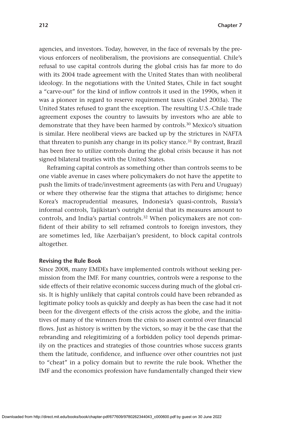agencies, and investors. Today, however, in the face of reversals by the previous enforcers of neoliberalism, the provisions are consequential. Chile's refusal to use capital controls during the global crisis has far more to do with its 2004 trade agreement with the United States than with neoliberal ideology. In the negotiations with the United States, Chile in fact sought a "carve-out" for the kind of inflow controls it used in the 1990s, when it was a pioneer in regard to reserve requirement taxes (Grabel 2003a). The United States refused to grant the exception. The resulting U.S.-Chile trade agreement exposes the country to lawsuits by investors who are able to demonstrate that they have been harmed by controls.30 Mexico's situation is similar. Here neoliberal views are backed up by the strictures in NAFTA that threaten to punish any change in its policy stance.<sup>31</sup> By contrast, Brazil has been free to utilize controls during the global crisis because it has not signed bilateral treaties with the United States.

Reframing capital controls as something other than controls seems to be one viable avenue in cases where policymakers do not have the appetite to push the limits of trade/investment agreements (as with Peru and Uruguay) or where they otherwise fear the stigma that attaches to dirigisme; hence Korea's macroprudential measures, Indonesia's quasi-controls, Russia's informal controls, Tajikistan's outright denial that its measures amount to controls, and India's partial controls.32 When policymakers are not confident of their ability to sell reframed controls to foreign investors, they are sometimes led, like Azerbaijan's president, to block capital controls altogether.

#### **Revising the Rule Book**

Since 2008, many EMDEs have implemented controls without seeking permission from the IMF. For many countries, controls were a response to the side effects of their relative economic success during much of the global crisis. It is highly unlikely that capital controls could have been rebranded as legitimate policy tools as quickly and deeply as has been the case had it not been for the divergent effects of the crisis across the globe, and the initiatives of many of the winners from the crisis to assert control over financial flows. Just as history is written by the victors, so may it be the case that the rebranding and relegitimizing of a forbidden policy tool depends primarily on the practices and strategies of those countries whose success grants them the latitude, confidence, and influence over other countries not just to "cheat" in a policy domain but to rewrite the rule book. Whether the IMF and the economics profession have fundamentally changed their view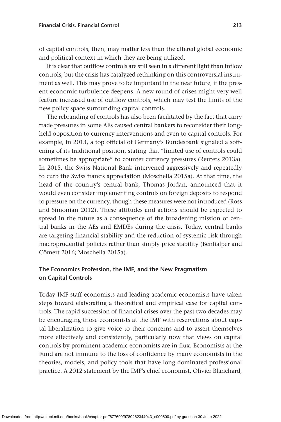of capital controls, then, may matter less than the altered global economic and political context in which they are being utilized.

It is clear that outflow controls are still seen in a different light than inflow controls, but the crisis has catalyzed rethinking on this controversial instrument as well. This may prove to be important in the near future, if the present economic turbulence deepens. A new round of crises might very well feature increased use of outflow controls, which may test the limits of the new policy space surrounding capital controls.

The rebranding of controls has also been facilitated by the fact that carry trade pressures in some AEs caused central bankers to reconsider their longheld opposition to currency interventions and even to capital controls. For example, in 2013, a top official of Germany's Bundesbank signaled a softening of its traditional position, stating that "limited use of controls could sometimes be appropriate" to counter currency pressures (Reuters 2013a). In 2015, the Swiss National Bank intervened aggressively and repeatedly to curb the Swiss franc's appreciation (Moschella 2015a). At that time, the head of the country's central bank, Thomas Jordan, announced that it would even consider implementing controls on foreign deposits to respond to pressure on the currency, though these measures were not introduced (Ross and Simonian 2012). These attitudes and actions should be expected to spread in the future as a consequence of the broadening mission of central banks in the AEs and EMDEs during the crisis. Today, central banks are targeting financial stability and the reduction of systemic risk through macroprudential policies rather than simply price stability (Benlialper and Cömert 2016; Moschella 2015a).

## **The Economics Profession, the IMF, and the New Pragmatism on Capital Controls**

Today IMF staff economists and leading academic economists have taken steps toward elaborating a theoretical and empirical case for capital controls. The rapid succession of financial crises over the past two decades may be encouraging those economists at the IMF with reservations about capital liberalization to give voice to their concerns and to assert themselves more effectively and consistently, particularly now that views on capital controls by prominent academic economists are in flux. Economists at the Fund are not immune to the loss of confidence by many economists in the theories, models, and policy tools that have long dominated professional practice. A 2012 statement by the IMF's chief economist, Olivier Blanchard,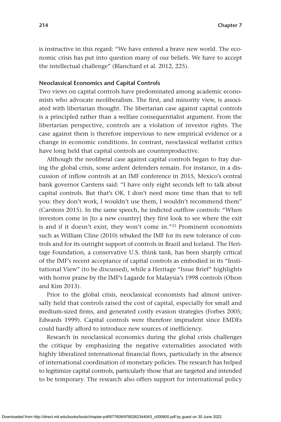is instructive in this regard: "We have entered a brave new world. The economic crisis has put into question many of our beliefs. We have to accept the intellectual challenge" (Blanchard et al. 2012, 225).

#### **Neoclassical Economics and Capital Controls**

Two views on capital controls have predominated among academic economists who advocate neoliberalism. The first, and minority view, is associated with libertarian thought. The libertarian case against capital controls is a principled rather than a welfare consequentialist argument. From the libertarian perspective, controls are a violation of investor rights. The case against them is therefore impervious to new empirical evidence or a change in economic conditions. In contrast, neoclassical welfarist critics have long held that capital controls are counterproductive.

Although the neoliberal case against capital controls began to fray during the global crisis, some ardent defenders remain. For instance, in a discussion of inflow controls at an IMF conference in 2015, Mexico's central bank governor Carstens said: "I have only eight seconds left to talk about capital controls. But that's OK. I don't need more time than that to tell you: they don't work, I wouldn't use them, I wouldn't recommend them" (Carstens 2015). In the same speech, he indicted outflow controls: "When investors come in [to a new country] they first look to see where the exit is and if it doesn't exist, they won't come in."33 Prominent economists such as William Cline (2010) rebuked the IMF for its new tolerance of controls and for its outright support of controls in Brazil and Iceland. The Heritage Foundation, a conservative U.S. think tank, has been sharply critical of the IMF's recent acceptance of capital controls as embodied in its "Institutional View" (to be discussed), while a Heritage "Issue Brief" highlights with horror praise by the IMF's Lagarde for Malaysia's 1998 controls (Olson and Kim 2013).

Prior to the global crisis, neoclassical economists had almost universally held that controls raised the cost of capital, especially for small and medium-sized firms, and generated costly evasion strategies (Forbes 2005; Edwards 1999). Capital controls were therefore imprudent since EMDEs could hardly afford to introduce new sources of inefficiency.

Research in neoclassical economics during the global crisis challenges the critique by emphasizing the negative externalities associated with highly liberalized international financial flows, particularly in the absence of international coordination of monetary policies. The research has helped to legitimize capital controls, particularly those that are targeted and intended to be temporary. The research also offers support for international policy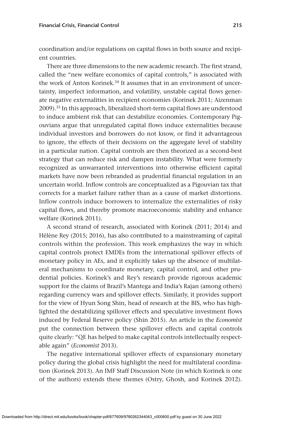coordination and/or regulations on capital flows in both source and recipient countries.

There are three dimensions to the new academic research. The first strand, called the "new welfare economics of capital controls," is associated with the work of Anton Korinek.<sup>34</sup> It assumes that in an environment of uncertainty, imperfect information, and volatility, unstable capital flows generate negative externalities in recipient economies (Korinek 2011; Aizenman 2009).35 In this approach, liberalized short-term capital flows are understood to induce ambient risk that can destabilize economies. Contemporary Pigouvians argue that unregulated capital flows induce externalities because individual investors and borrowers do not know, or find it advantageous to ignore, the effects of their decisions on the aggregate level of stability in a particular nation. Capital controls are then theorized as a second-best strategy that can reduce risk and dampen instability. What were formerly recognized as unwarranted interventions into otherwise efficient capital markets have now been rebranded as prudential financial regulation in an uncertain world. Inflow controls are conceptualized as a Pigouvian tax that corrects for a market failure rather than as a cause of market distortions. Inflow controls induce borrowers to internalize the externalities of risky capital flows, and thereby promote macroeconomic stability and enhance welfare (Korinek 2011).

A second strand of research, associated with Korinek (2011; 2014) and Hélène Rey (2015; 2016), has also contributed to a mainstreaming of capital controls within the profession. This work emphasizes the way in which capital controls protect EMDEs from the international spillover effects of monetary policy in AEs, and it explicitly takes up the absence of multilateral mechanisms to coordinate monetary, capital control, and other prudential policies. Korinek's and Rey's research provide rigorous academic support for the claims of Brazil's Mantega and India's Rajan (among others) regarding currency wars and spillover effects. Similarly, it provides support for the view of Hyun Song Shin, head of research at the BIS, who has highlighted the destabilizing spillover effects and speculative investment flows induced by Federal Reserve policy (Shin 2015). An article in the *Economist* put the connection between these spillover effects and capital controls quite clearly: "QE has helped to make capital controls intellectually respectable again" (*Economist* 2013).

The negative international spillover effects of expansionary monetary policy during the global crisis highlight the need for multilateral coordination (Korinek 2013). An IMF Staff Discussion Note (in which Korinek is one of the authors) extends these themes (Ostry, Ghosh, and Korinek 2012).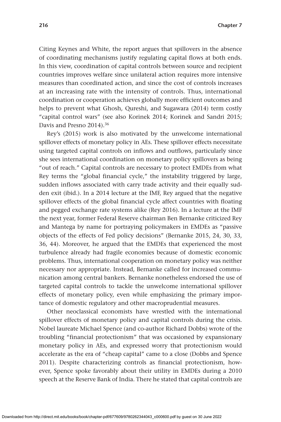Citing Keynes and White, the report argues that spillovers in the absence of coordinating mechanisms justify regulating capital flows at both ends. In this view, coordination of capital controls between source and recipient countries improves welfare since unilateral action requires more intensive measures than coordinated action, and since the cost of controls increases at an increasing rate with the intensity of controls. Thus, international coordination or cooperation achieves globally more efficient outcomes and helps to prevent what Ghosh, Qureshi, and Sugawara (2014) term costly "capital control wars" (see also Korinek 2014; Korinek and Sandri 2015; Davis and Presno 2014).36

Rey's (2015) work is also motivated by the unwelcome international spillover effects of monetary policy in AEs. These spillover effects necessitate using targeted capital controls on inflows and outflows, particularly since she sees international coordination on monetary policy spillovers as being "out of reach." Capital controls are necessary to protect EMDEs from what Rey terms the "global financial cycle," the instability triggered by large, sudden inflows associated with carry trade activity and their equally sudden exit (ibid.). In a 2014 lecture at the IMF, Rey argued that the negative spillover effects of the global financial cycle affect countries with floating and pegged exchange rate systems alike (Rey 2016). In a lecture at the IMF the next year, former Federal Reserve chairman Ben Bernanke criticized Rey and Mantega by name for portraying policymakers in EMDEs as "passive objects of the effects of Fed policy decisions" (Bernanke 2015, 24, 30, 33, 36, 44). Moreover, he argued that the EMDEs that experienced the most turbulence already had fragile economies because of domestic economic problems. Thus, international cooperation on monetary policy was neither necessary nor appropriate. Instead, Bernanke called for increased communication among central bankers. Bernanke nonetheless endorsed the use of targeted capital controls to tackle the unwelcome international spillover effects of monetary policy, even while emphasizing the primary importance of domestic regulatory and other macroprudential measures.

Other neoclassical economists have wrestled with the international spillover effects of monetary policy and capital controls during the crisis. Nobel laureate Michael Spence (and co-author Richard Dobbs) wrote of the troubling "financial protectionism" that was occasioned by expansionary monetary policy in AEs, and expressed worry that protectionism would accelerate as the era of "cheap capital" came to a close (Dobbs and Spence 2011). Despite characterizing controls as financial protectionism, however, Spence spoke favorably about their utility in EMDEs during a 2010 speech at the Reserve Bank of India. There he stated that capital controls are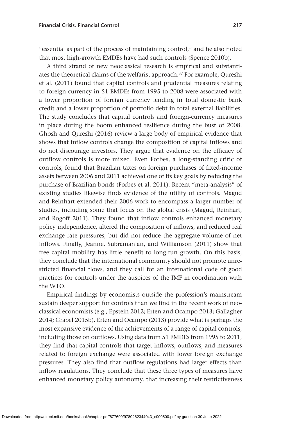"essential as part of the process of maintaining control," and he also noted that most high-growth EMDEs have had such controls (Spence 2010b).

A third strand of new neoclassical research is empirical and substantiates the theoretical claims of the welfarist approach.37 For example, Qureshi et al. (2011) found that capital controls and prudential measures relating to foreign currency in 51 EMDEs from 1995 to 2008 were associated with a lower proportion of foreign currency lending in total domestic bank credit and a lower proportion of portfolio debt in total external liabilities. The study concludes that capital controls and foreign-currency measures in place during the boom enhanced resilience during the bust of 2008. Ghosh and Qureshi (2016) review a large body of empirical evidence that shows that inflow controls change the composition of capital inflows and do not discourage investors. They argue that evidence on the efficacy of outflow controls is more mixed. Even Forbes, a long-standing critic of controls, found that Brazilian taxes on foreign purchases of fixed-income assets between 2006 and 2011 achieved one of its key goals by reducing the purchase of Brazilian bonds (Forbes et al. 2011). Recent "meta-analysis" of existing studies likewise finds evidence of the utility of controls. Magud and Reinhart extended their 2006 work to encompass a larger number of studies, including some that focus on the global crisis (Magud, Reinhart, and Rogoff 2011). They found that inflow controls enhanced monetary policy independence, altered the composition of inflows, and reduced real exchange rate pressures, but did not reduce the aggregate volume of net inflows. Finally, Jeanne, Subramanian, and Williamson (2011) show that free capital mobility has little benefit to long-run growth. On this basis, they conclude that the international community should not promote unrestricted financial flows, and they call for an international code of good practices for controls under the auspices of the IMF in coordination with the WTO.

Empirical findings by economists outside the profession's mainstream sustain deeper support for controls than we find in the recent work of neoclassical economists (e.g., Epstein 2012; Erten and Ocampo 2013; Gallagher 2014; Grabel 2015b). Erten and Ocampo (2013) provide what is perhaps the most expansive evidence of the achievements of a range of capital controls, including those on outflows. Using data from 51 EMDEs from 1995 to 2011, they find that capital controls that target inflows, outflows, and measures related to foreign exchange were associated with lower foreign exchange pressures. They also find that outflow regulations had larger effects than inflow regulations. They conclude that these three types of measures have enhanced monetary policy autonomy, that increasing their restrictiveness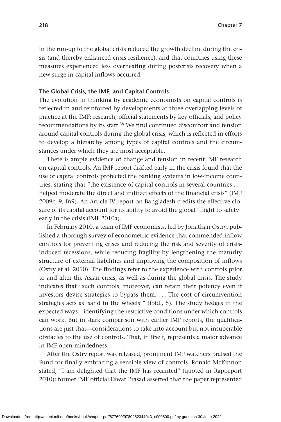in the run-up to the global crisis reduced the growth decline during the crisis (and thereby enhanced crisis resilience), and that countries using these measures experienced less overheating during postcrisis recovery when a new surge in capital inflows occurred.

#### **The Global Crisis, the IMF, and Capital Controls**

The evolution in thinking by academic economists on capital controls is reflected in and reinforced by developments at three overlapping levels of practice at the IMF: research, official statements by key officials, and policy recommendations by its staff.38 We find continued discomfort and tension around capital controls during the global crisis, which is reflected in efforts to develop a hierarchy among types of capital controls and the circumstances under which they are most acceptable.

There is ample evidence of change and tension in recent IMF research on capital controls. An IMF report drafted early in the crisis found that the use of capital controls protected the banking systems in low-income countries, stating that "the existence of capital controls in several countries . . . helped moderate the direct and indirect effects of the financial crisis" (IMF 2009c, 9, fn9). An Article IV report on Bangladesh credits the effective closure of its capital account for its ability to avoid the global "flight to safety" early in the crisis (IMF 2010a).

In February 2010, a team of IMF economists, led by Jonathan Ostry, published a thorough survey of econometric evidence that commended inflow controls for preventing crises and reducing the risk and severity of crisisinduced recessions, while reducing fragility by lengthening the maturity structure of external liabilities and improving the composition of inflows (Ostry et al. 2010). The findings refer to the experience with controls prior to and after the Asian crisis, as well as during the global crisis. The study indicates that "such controls, moreover, can retain their potency even if investors devise strategies to bypass them. . . . The cost of circumvention strategies acts as 'sand in the wheels'" (ibid., 5). The study hedges in the expected ways—identifying the restrictive conditions under which controls can work. But in stark comparison with earlier IMF reports, the qualifications are just that—considerations to take into account but not insuperable obstacles to the use of controls. That, in itself, represents a major advance in IMF open-mindedness.

After the Ostry report was released, prominent IMF watchers praised the Fund for finally embracing a sensible view of controls. Ronald McKinnon stated, "I am delighted that the IMF has recanted" (quoted in Rappeport 2010); former IMF official Eswar Prasad asserted that the paper represented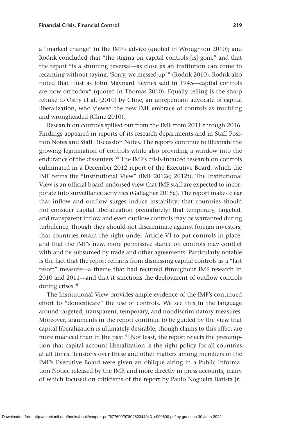a "marked change" in the IMF's advice (quoted in Wroughton 2010); and Rodrik concluded that "the stigma on capital controls [is] gone" and that the report "is a stunning reversal—as close as an institution can come to recanting without saying, 'Sorry, we messed up'" (Rodrik 2010). Rodrik also noted that "just as John Maynard Keynes said in 1945—capital controls are now orthodox" (quoted in Thomas 2010). Equally telling is the sharp rebuke to Ostry et al. (2010) by Cline, an unrepentant advocate of capital liberalization, who viewed the new IMF embrace of controls as troubling and wrongheaded (Cline 2010).

Research on controls spilled out from the IMF from 2011 through 2016. Findings appeared in reports of its research departments and in Staff Position Notes and Staff Discussion Notes. The reports continue to illustrate the growing legitimation of controls while also providing a window into the endurance of the dissenters.39 The IMF's crisis-induced research on controls culminated in a December 2012 report of the Executive Board, which the IMF terms the "Institutional View" (IMF 2012e; 2012f). The Institutional View is an official board-endorsed view that IMF staff are expected to incorporate into surveillance activities (Gallagher 2015a). The report makes clear that inflow and outflow surges induce instability; that countries should not consider capital liberalization prematurely; that temporary, targeted, and transparent inflow and even outflow controls may be warranted during turbulence, though they should not discriminate against foreign investors; that countries retain the right under Article VI to put controls in place; and that the IMF's new, more permissive stance on controls may conflict with and be subsumed by trade and other agreements. Particularly notable is the fact that the report refrains from dismissing capital controls as a "last resort" measure—a theme that had recurred throughout IMF research in 2010 and 2011—and that it sanctions the deployment of outflow controls during crises.<sup>40</sup>

The Institutional View provides ample evidence of the IMF's continued effort to "domesticate" the use of controls. We see this in the language around targeted, transparent, temporary, and nondiscriminatory measures. Moreover, arguments in the report continue to be guided by the view that capital liberalization is ultimately desirable, though claims to this effect are more nuanced than in the past.<sup>41</sup> Not least, the report rejects the presumption that capital account liberalization is the right policy for all countries at all times. Tensions over these and other matters among members of the IMF's Executive Board were given an oblique airing in a Public Information Notice released by the IMF, and more directly in press accounts, many of which focused on criticisms of the report by Paulo Nogueira Batista Jr.,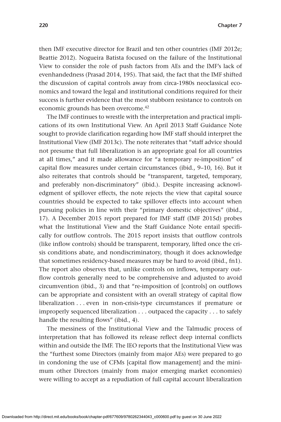then IMF executive director for Brazil and ten other countries (IMF 2012e; Beattie 2012). Nogueira Batista focused on the failure of the Institutional View to consider the role of push factors from AEs and the IMF's lack of evenhandedness (Prasad 2014, 195). That said, the fact that the IMF shifted the discussion of capital controls away from circa-1980s neoclassical economics and toward the legal and institutional conditions required for their success is further evidence that the most stubborn resistance to controls on economic grounds has been overcome.<sup>42</sup>

The IMF continues to wrestle with the interpretation and practical implications of its own Institutional View. An April 2013 Staff Guidance Note sought to provide clarification regarding how IMF staff should interpret the Institutional View (IMF 2013c). The note reiterates that "staff advice should not presume that full liberalization is an appropriate goal for all countries at all times," and it made allowance for "a temporary re-imposition" of capital flow measures under certain circumstances (ibid., 9–10, 16). But it also reiterates that controls should be "transparent, targeted, temporary, and preferably non-discriminatory" (ibid.). Despite increasing acknowledgment of spillover effects, the note rejects the view that capital source countries should be expected to take spillover effects into account when pursuing policies in line with their "primary domestic objectives" (ibid., 17). A December 2015 report prepared for IMF staff (IMF 2015d) probes what the Institutional View and the Staff Guidance Note entail specifically for outflow controls. The 2015 report insists that outflow controls (like inflow controls) should be transparent, temporary, lifted once the crisis conditions abate, and nondiscriminatory, though it does acknowledge that sometimes residency-based measures may be hard to avoid (ibid., fn1). The report also observes that, unlike controls on inflows, temporary outflow controls generally need to be comprehensive and adjusted to avoid circumvention (ibid., 3) and that "re-imposition of [controls] on outflows can be appropriate and consistent with an overall strategy of capital flow liberalization . . . even in non-crisis-type circumstances if premature or improperly sequenced liberalization . . . outpaced the capacity . . . to safely handle the resulting flows" (ibid., 4).

The messiness of the Institutional View and the Talmudic process of interpretation that has followed its release reflect deep internal conflicts within and outside the IMF. The IEO reports that the Institutional View was the "furthest some Directors (mainly from major AEs) were prepared to go in condoning the use of CFMs [capital flow management] and the minimum other Directors (mainly from major emerging market economies) were willing to accept as a repudiation of full capital account liberalization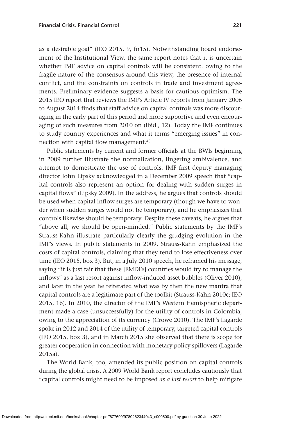as a desirable goal" (IEO 2015, 9, fn15). Notwithstanding board endorsement of the Institutional View, the same report notes that it is uncertain whether IMF advice on capital controls will be consistent, owing to the fragile nature of the consensus around this view, the presence of internal conflict, and the constraints on controls in trade and investment agreements. Preliminary evidence suggests a basis for cautious optimism. The 2015 IEO report that reviews the IMF's Article IV reports from January 2006 to August 2014 finds that staff advice on capital controls was more discouraging in the early part of this period and more supportive and even encouraging of such measures from 2010 on (ibid., 12). Today the IMF continues to study country experiences and what it terms "emerging issues" in connection with capital flow management.<sup>43</sup>

Public statements by current and former officials at the BWIs beginning in 2009 further illustrate the normalization, lingering ambivalence, and attempt to domesticate the use of controls. IMF first deputy managing director John Lipsky acknowledged in a December 2009 speech that "capital controls also represent an option for dealing with sudden surges in capital flows" (Lipsky 2009). In the address, he argues that controls should be used when capital inflow surges are temporary (though we have to wonder when sudden surges would not be temporary), and he emphasizes that controls likewise should be temporary. Despite these caveats, he argues that "above all, we should be open-minded." Public statements by the IMF's Strauss-Kahn illustrate particularly clearly the grudging evolution in the IMF's views. In public statements in 2009, Strauss-Kahn emphasized the costs of capital controls, claiming that they tend to lose effectiveness over time (IEO 2015, box 3). But, in a July 2010 speech, he reframed his message, saying "it is just fair that these [EMDEs] countries would try to manage the inflows" as a last resort against inflow-induced asset bubbles (Oliver 2010), and later in the year he reiterated what was by then the new mantra that capital controls are a legitimate part of the toolkit (Strauss-Kahn 2010c; IEO 2015, 16). In 2010, the director of the IMF's Western Hemispheric department made a case (unsuccessfully) for the utility of controls in Colombia, owing to the appreciation of its currency (Crowe 2010). The IMF's Lagarde spoke in 2012 and 2014 of the utility of temporary, targeted capital controls (IEO 2015, box 3), and in March 2015 she observed that there is scope for greater cooperation in connection with monetary policy spillovers (Lagarde 2015a).

The World Bank, too, amended its public position on capital controls during the global crisis. A 2009 World Bank report concludes cautiously that "capital controls might need to be imposed *as a last resort* to help mitigate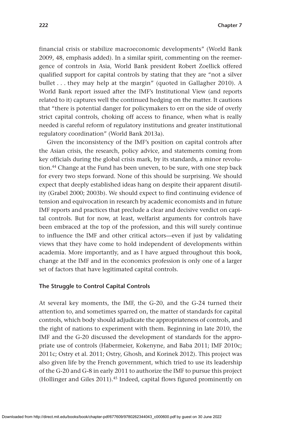financial crisis or stabilize macroeconomic developments" (World Bank 2009, 48, emphasis added). In a similar spirit, commenting on the reemergence of controls in Asia, World Bank president Robert Zoellick offered qualified support for capital controls by stating that they are "not a silver bullet . . . they may help at the margin" (quoted in Gallagher 2010). A World Bank report issued after the IMF's Institutional View (and reports related to it) captures well the continued hedging on the matter. It cautions that "there is potential danger for policymakers to err on the side of overly strict capital controls, choking off access to finance, when what is really needed is careful reform of regulatory institutions and greater institutional regulatory coordination" (World Bank 2013a).

Given the inconsistency of the IMF's position on capital controls after the Asian crisis, the research, policy advice, and statements coming from key officials during the global crisis mark, by its standards, a minor revolution.<sup>44</sup> Change at the Fund has been uneven, to be sure, with one step back for every two steps forward. None of this should be surprising. We should expect that deeply established ideas hang on despite their apparent disutility (Grabel 2000; 2003b). We should expect to find continuing evidence of tension and equivocation in research by academic economists and in future IMF reports and practices that preclude a clear and decisive verdict on capital controls. But for now, at least, welfarist arguments for controls have been embraced at the top of the profession, and this will surely continue to influence the IMF and other critical actors—even if just by validating views that they have come to hold independent of developments within academia. More importantly, and as I have argued throughout this book, change at the IMF and in the economics profession is only one of a larger set of factors that have legitimated capital controls.

#### **The Struggle to Control Capital Controls**

At several key moments, the IMF, the G-20, and the G-24 turned their attention to, and sometimes sparred on, the matter of standards for capital controls, which body should adjudicate the appropriateness of controls, and the right of nations to experiment with them. Beginning in late 2010, the IMF and the G-20 discussed the development of standards for the appropriate use of controls (Habermeier, Kokenyne, and Baba 2011; IMF 2010c; 2011c; Ostry et al. 2011; Ostry, Ghosh, and Korinek 2012). This project was also given life by the French government, which tried to use its leadership of the G-20 and G-8 in early 2011 to authorize the IMF to pursue this project (Hollinger and Giles 2011).<sup>45</sup> Indeed, capital flows figured prominently on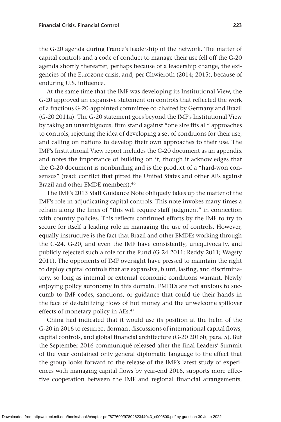the G-20 agenda during France's leadership of the network. The matter of capital controls and a code of conduct to manage their use fell off the G-20 agenda shortly thereafter, perhaps because of a leadership change, the exigencies of the Eurozone crisis, and, per Chwieroth (2014; 2015), because of enduring U.S. influence.

At the same time that the IMF was developing its Institutional View, the G-20 approved an expansive statement on controls that reflected the work of a fractious G-20-appointed committee co-chaired by Germany and Brazil (G-20 2011a). The G-20 statement goes beyond the IMF's Institutional View by taking an unambiguous, firm stand against "one size fits all" approaches to controls, rejecting the idea of developing a set of conditions for their use, and calling on nations to develop their own approaches to their use. The IMF's Institutional View report includes the G-20 document as an appendix and notes the importance of building on it, though it acknowledges that the G-20 document is nonbinding and is the product of a "hard-won consensus" (read: conflict that pitted the United States and other AEs against Brazil and other EMDE members).46

The IMF's 2013 Staff Guidance Note obliquely takes up the matter of the IMF's role in adjudicating capital controls. This note invokes many times a refrain along the lines of "this will require staff judgment" in connection with country policies. This reflects continued efforts by the IMF to try to secure for itself a leading role in managing the use of controls. However, equally instructive is the fact that Brazil and other EMDEs working through the G-24, G-20, and even the IMF have consistently, unequivocally, and publicly rejected such a role for the Fund (G-24 2011; Reddy 2011; Wagsty 2011). The opponents of IMF oversight have pressed to maintain the right to deploy capital controls that are expansive, blunt, lasting, and discriminatory, so long as internal or external economic conditions warrant. Newly enjoying policy autonomy in this domain, EMDEs are not anxious to succumb to IMF codes, sanctions, or guidance that could tie their hands in the face of destabilizing flows of hot money and the unwelcome spillover effects of monetary policy in AEs.47

China had indicated that it would use its position at the helm of the G-20 in 2016 to resurrect dormant discussions of international capital flows, capital controls, and global financial architecture (G-20 2016b, para. 5). But the September 2016 communiqué released after the final Leaders' Summit of the year contained only general diplomatic language to the effect that the group looks forward to the release of the IMF's latest study of experiences with managing capital flows by year-end 2016, supports more effective cooperation between the IMF and regional financial arrangements,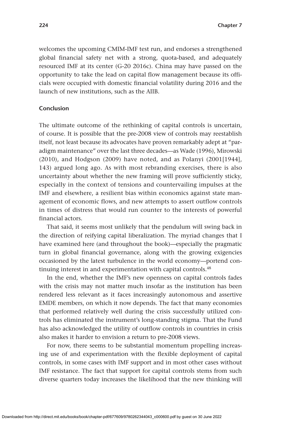welcomes the upcoming CMIM-IMF test run, and endorses a strengthened global financial safety net with a strong, quota-based, and adequately resourced IMF at its center (G-20 2016c). China may have passed on the opportunity to take the lead on capital flow management because its officials were occupied with domestic financial volatility during 2016 and the launch of new institutions, such as the AIIB.

## **Conclusion**

The ultimate outcome of the rethinking of capital controls is uncertain, of course. It is possible that the pre-2008 view of controls may reestablish itself, not least because its advocates have proven remarkably adept at "paradigm maintenance" over the last three decades—as Wade (1996), Mirowski (2010), and Hodgson (2009) have noted, and as Polanyi (2001[1944], 143) argued long ago. As with most rebranding exercises, there is also uncertainty about whether the new framing will prove sufficiently sticky, especially in the context of tensions and countervailing impulses at the IMF and elsewhere, a resilient bias within economics against state management of economic flows, and new attempts to assert outflow controls in times of distress that would run counter to the interests of powerful financial actors.

That said, it seems most unlikely that the pendulum will swing back in the direction of reifying capital liberalization. The myriad changes that I have examined here (and throughout the book)—especially the pragmatic turn in global financial governance, along with the growing exigencies occasioned by the latest turbulence in the world economy—portend continuing interest in and experimentation with capital controls.<sup>48</sup>

In the end, whether the IMF's new openness on capital controls fades with the crisis may not matter much insofar as the institution has been rendered less relevant as it faces increasingly autonomous and assertive EMDE members, on which it now depends. The fact that many economies that performed relatively well during the crisis successfully utilized controls has eliminated the instrument's long-standing stigma. That the Fund has also acknowledged the utility of outflow controls in countries in crisis also makes it harder to envision a return to pre-2008 views.

For now, there seems to be substantial momentum propelling increasing use of and experimentation with the flexible deployment of capital controls, in some cases with IMF support and in most other cases without IMF resistance. The fact that support for capital controls stems from such diverse quarters today increases the likelihood that the new thinking will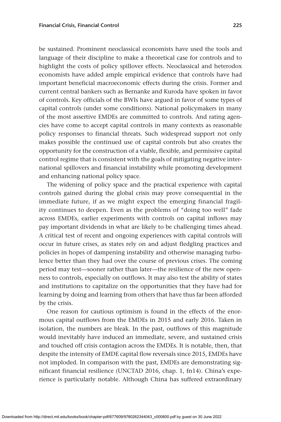be sustained. Prominent neoclassical economists have used the tools and language of their discipline to make a theoretical case for controls and to highlight the costs of policy spillover effects. Neoclassical and heterodox economists have added ample empirical evidence that controls have had important beneficial macroeconomic effects during the crisis. Former and current central bankers such as Bernanke and Kuroda have spoken in favor of controls. Key officials of the BWIs have argued in favor of some types of capital controls (under some conditions). National policymakers in many of the most assertive EMDEs are committed to controls. And rating agencies have come to accept capital controls in many contexts as reasonable policy responses to financial threats. Such widespread support not only makes possible the continued use of capital controls but also creates the opportunity for the construction of a viable, flexible, and permissive capital control regime that is consistent with the goals of mitigating negative international spillovers and financial instability while promoting development and enhancing national policy space.

The widening of policy space and the practical experience with capital controls gained during the global crisis may prove consequential in the immediate future, if as we might expect the emerging financial fragility continues to deepen. Even as the problems of "doing too well" fade across EMDEs, earlier experiments with controls on capital inflows may pay important dividends in what are likely to be challenging times ahead. A critical test of recent and ongoing experiences with capital controls will occur in future crises, as states rely on and adjust fledgling practices and policies in hopes of dampening instability and otherwise managing turbulence better than they had over the course of previous crises. The coming period may test—sooner rather than later—the resilience of the new openness to controls, especially on outflows. It may also test the ability of states and institutions to capitalize on the opportunities that they have had for learning by doing and learning from others that have thus far been afforded by the crisis.

One reason for cautious optimism is found in the effects of the enormous capital outflows from the EMDEs in 2015 and early 2016. Taken in isolation, the numbers are bleak. In the past, outflows of this magnitude would inevitably have induced an immediate, severe, and sustained crisis and touched off crisis contagion across the EMDEs. It is notable, then, that despite the intensity of EMDE capital flow reversals since 2015, EMDEs have not imploded. In comparison with the past, EMDEs are demonstrating significant financial resilience (UNCTAD 2016, chap. 1, fn14). China's experience is particularly notable. Although China has suffered extraordinary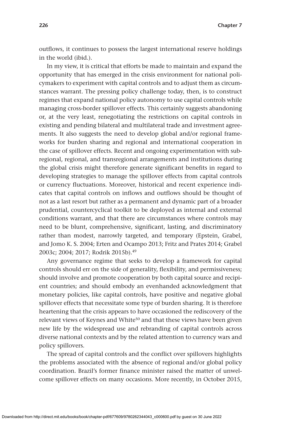outflows, it continues to possess the largest international reserve holdings in the world (ibid.).

In my view, it is critical that efforts be made to maintain and expand the opportunity that has emerged in the crisis environment for national policymakers to experiment with capital controls and to adjust them as circumstances warrant. The pressing policy challenge today, then, is to construct regimes that expand national policy autonomy to use capital controls while managing cross-border spillover effects. This certainly suggests abandoning or, at the very least, renegotiating the restrictions on capital controls in existing and pending bilateral and multilateral trade and investment agreements. It also suggests the need to develop global and/or regional frameworks for burden sharing and regional and international cooperation in the case of spillover effects. Recent and ongoing experimentation with subregional, regional, and transregional arrangements and institutions during the global crisis might therefore generate significant benefits in regard to developing strategies to manage the spillover effects from capital controls or currency fluctuations. Moreover, historical and recent experience indicates that capital controls on inflows and outflows should be thought of not as a last resort but rather as a permanent and dynamic part of a broader prudential, countercyclical toolkit to be deployed as internal and external conditions warrant, and that there are circumstances where controls may need to be blunt, comprehensive, significant, lasting, and discriminatory rather than modest, narrowly targeted, and temporary (Epstein, Grabel, and Jomo K. S. 2004; Erten and Ocampo 2013; Fritz and Prates 2014; Grabel 2003c; 2004; 2017; Rodrik 2015b).49

Any governance regime that seeks to develop a framework for capital controls should err on the side of generality, flexibility, and permissiveness; should involve and promote cooperation by both capital source and recipient countries; and should embody an evenhanded acknowledgment that monetary policies, like capital controls, have positive and negative global spillover effects that necessitate some type of burden sharing. It is therefore heartening that the crisis appears to have occasioned the rediscovery of the relevant views of Keynes and White<sup>50</sup> and that these views have been given new life by the widespread use and rebranding of capital controls across diverse national contexts and by the related attention to currency wars and policy spillovers.

The spread of capital controls and the conflict over spillovers highlights the problems associated with the absence of regional and/or global policy coordination. Brazil's former finance minister raised the matter of unwelcome spillover effects on many occasions. More recently, in October 2015,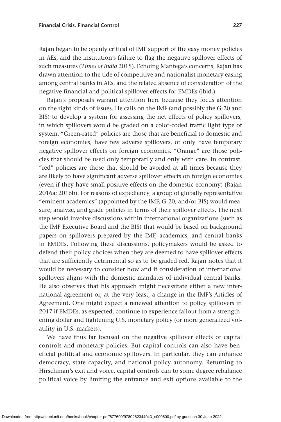Rajan began to be openly critical of IMF support of the easy money policies in AEs, and the institution's failure to flag the negative spillover effects of such measures (*Times of India* 2015). Echoing Mantega's concerns, Rajan has drawn attention to the tide of competitive and nationalist monetary easing among central banks in AEs, and the related absence of consideration of the negative financial and political spillover effects for EMDEs (ibid.).

Rajan's proposals warrant attention here because they focus attention on the right kinds of issues. He calls on the IMF (and possibly the G-20 and BIS) to develop a system for assessing the net effects of policy spillovers, in which spillovers would be graded on a color-coded traffic light type of system. "Green-rated" policies are those that are beneficial to domestic and foreign economies, have few adverse spillovers, or only have temporary negative spillover effects on foreign economies. "Orange" are those policies that should be used only temporarily and only with care. In contrast, "red" policies are those that should be avoided at all times because they are likely to have significant adverse spillover effects on foreign economies (even if they have small positive effects on the domestic economy) (Rajan 2016a; 2016b). For reasons of expediency, a group of globally representative "eminent academics" (appointed by the IMF, G-20, and/or BIS) would measure, analyze, and grade policies in terms of their spillover effects. The next step would involve discussions within international organizations (such as the IMF Executive Board and the BIS) that would be based on background papers on spillovers prepared by the IMF, academics, and central banks in EMDEs. Following these discussions, policymakers would be asked to defend their policy choices when they are deemed to have spillover effects that are sufficiently detrimental so as to be graded red. Rajan notes that it would be necessary to consider how and if consideration of international spillovers aligns with the domestic mandates of individual central banks. He also observes that his approach might necessitate either a new international agreement or, at the very least, a change in the IMF's Articles of Agreement. One might expect a renewed attention to policy spillovers in 2017 if EMDEs, as expected, continue to experience fallout from a strengthening dollar and tightening U.S. monetary policy (or more generalized volatility in U.S. markets).

We have thus far focused on the negative spillover effects of capital controls and monetary policies. But capital controls can also have beneficial political and economic spillovers. In particular, they can enhance democracy, state capacity, and national policy autonomy. Returning to Hirschman's exit and voice, capital controls can to some degree rebalance political voice by limiting the entrance and exit options available to the